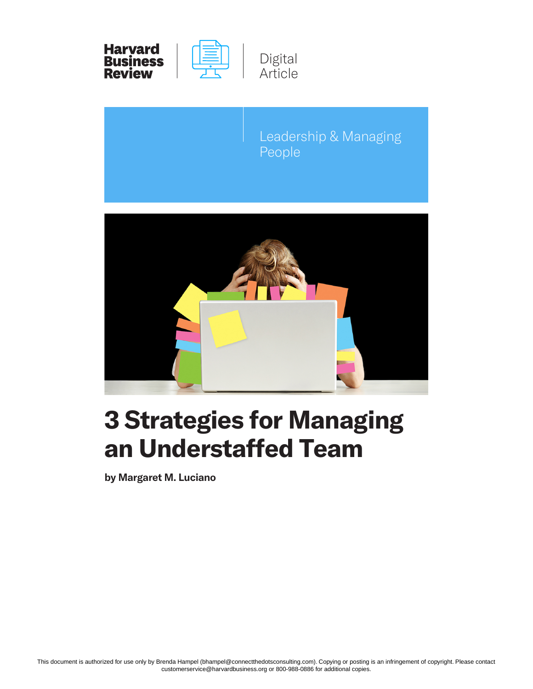

Leadership & Managing People



# **3 Strategies for Managing an Understaffed Team**

**by Margaret M. Luciano**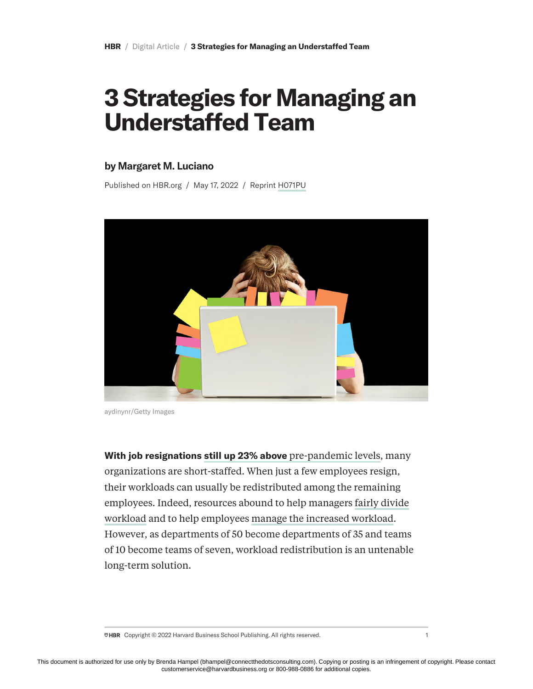# **3 Strategies for Managing an Understaffed Team**

#### **by Margaret M. Luciano**

Published on HBR.org / May 17, 2022 / Reprint [H071PU](https://hbr.org/2022/05/3-strategies-for-managing-an-understaffed-team)



aydinynr/Getty Images

**With job resignations [still up 23% above](https://www.cnbc.com/2022/03/09/the-great-resignation-is-still-in-full-swing.html#:~:text=As%20of%20Feb.-,2022.,with%20ample%20opportunities%2C%20they%20said.)** [pre-pandemic levels](https://www.cnbc.com/2022/03/09/the-great-resignation-is-still-in-full-swing.html#:~:text=As%20of%20Feb.-,2022.,with%20ample%20opportunities%2C%20they%20said.), many organizations are short-staffed. When just a few employees resign, their workloads can usually be redistributed among the remaining employees. Indeed, resources abound to help managers [fairly divide](https://hbr.org/2016/11/make-sure-your-teams-workload-is-divided-fairly) [workload](https://hbr.org/2016/11/make-sure-your-teams-workload-is-divided-fairly) and to help employees [manage the increased workload](https://www.fastcompany.com/3052993/how-to-handle-an-increased-workload-and-when-to-ask-for-help). However, as departments of 50 become departments of 35 and teams of 10 become teams of seven, workload redistribution is an untenable long-term solution.

 $\overline{\triangledown}$ HBR Copyright © 2022 Harvard Business School Publishing. All rights reserved. 1 1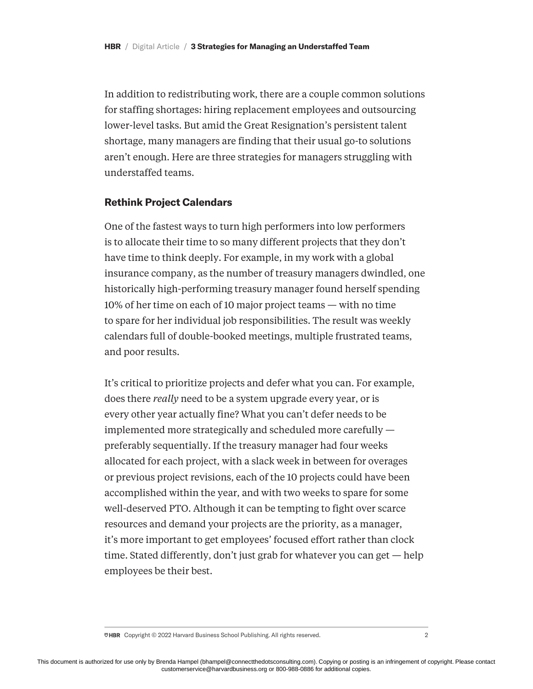In addition to redistributing work, there are a couple common solutions for staffing shortages: hiring replacement employees and outsourcing lower-level tasks. But amid the Great Resignation's persistent talent shortage, many managers are finding that their usual go-to solutions aren't enough. Here are three strategies for managers struggling with understaffed teams.

# **Rethink Project Calendars**

One of the fastest ways to turn high performers into low performers is to allocate their time to so many different projects that they don't have time to think deeply. For example, in my work with a global insurance company, as the number of treasury managers dwindled, one historically high-performing treasury manager found herself spending 10% of her time on each of 10 major project teams — with no time to spare for her individual job responsibilities. The result was weekly calendars full of double-booked meetings, multiple frustrated teams, and poor results.

It's critical to prioritize projects and defer what you can. For example, does there *really* need to be a system upgrade every year, or is every other year actually fine? What you can't defer needs to be implemented more strategically and scheduled more carefully preferably sequentially. If the treasury manager had four weeks allocated for each project, with a slack week in between for overages or previous project revisions, each of the 10 projects could have been accomplished within the year, and with two weeks to spare for some well-deserved PTO. Although it can be tempting to fight over scarce resources and demand your projects are the priority, as a manager, it's more important to get employees' focused effort rather than clock time. Stated differently, don't just grab for whatever you can get — help employees be their best.

 $\overline{\triangledown}$ HBR Copyright © 2022 Harvard Business School Publishing. All rights reserved. 2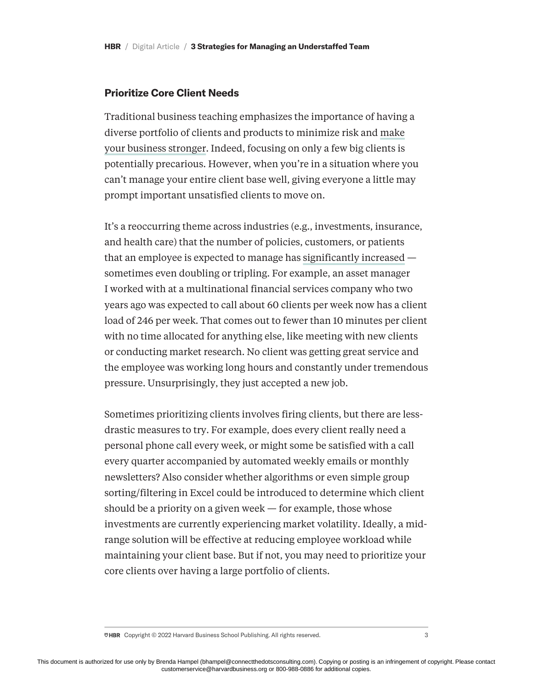## **Prioritize Core Client Needs**

Traditional business teaching emphasizes the importance of having a diverse portfolio of clients and products to minimize risk and [make](https://sloanreview.mit.edu/article/diversifying-your-customer-portfolio/) [your business stronger.](https://sloanreview.mit.edu/article/diversifying-your-customer-portfolio/) Indeed, focusing on only a few big clients is potentially precarious. However, when you're in a situation where you can't manage your entire client base well, giving everyone a little may prompt important unsatisfied clients to move on.

It's a reoccurring theme across industries (e.g., investments, insurance, and health care) that the number of policies, customers, or patients that an employee is expected to manage has [significantly increased](https://www.bbc.com/worklife/article/20211201-the-workers-picking-up-the-slack-du-the-great-resignation) sometimes even doubling or tripling. For example, an asset manager I worked with at a multinational financial services company who two years ago was expected to call about 60 clients per week now has a client load of 246 per week. That comes out to fewer than 10 minutes per client with no time allocated for anything else, like meeting with new clients or conducting market research. No client was getting great service and the employee was working long hours and constantly under tremendous pressure. Unsurprisingly, they just accepted a new job.

Sometimes prioritizing clients involves firing clients, but there are lessdrastic measures to try. For example, does every client really need a personal phone call every week, or might some be satisfied with a call every quarter accompanied by automated weekly emails or monthly newsletters? Also consider whether algorithms or even simple group sorting/filtering in Excel could be introduced to determine which client should be a priority on a given week — for example, those whose investments are currently experiencing market volatility. Ideally, a midrange solution will be effective at reducing employee workload while maintaining your client base. But if not, you may need to prioritize your core clients over having a large portfolio of clients.

 $\overline{\triangledown}$ HBR Copyright © 2022 Harvard Business School Publishing. All rights reserved. 3 3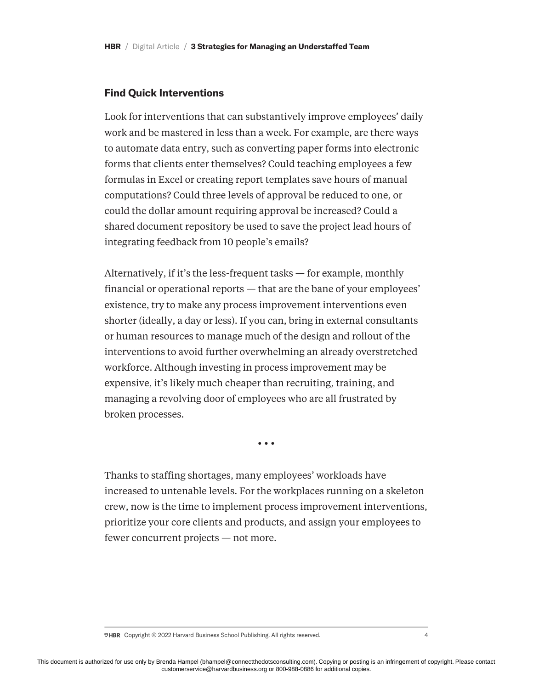### **Find Quick Interventions**

Look for interventions that can substantively improve employees' daily work and be mastered in less than a week. For example, are there ways to automate data entry, such as converting paper forms into electronic forms that clients enter themselves? Could teaching employees a few formulas in Excel or creating report templates save hours of manual computations? Could three levels of approval be reduced to one, or could the dollar amount requiring approval be increased? Could a shared document repository be used to save the project lead hours of integrating feedback from 10 people's emails?

Alternatively, if it's the less-frequent tasks — for example, monthly financial or operational reports — that are the bane of your employees' existence, try to make any process improvement interventions even shorter (ideally, a day or less). If you can, bring in external consultants or human resources to manage much of the design and rollout of the interventions to avoid further overwhelming an already overstretched workforce. Although investing in process improvement may be expensive, it's likely much cheaper than recruiting, training, and managing a revolving door of employees who are all frustrated by broken processes.

**• • •**

Thanks to staffing shortages, many employees' workloads have increased to untenable levels. For the workplaces running on a skeleton crew, now is the time to implement process improvement interventions, prioritize your core clients and products, and assign your employees to fewer concurrent projects — not more.

 $\overline{\triangledown}$ HBR Copyright © 2022 Harvard Business School Publishing. All rights reserved. 4 4